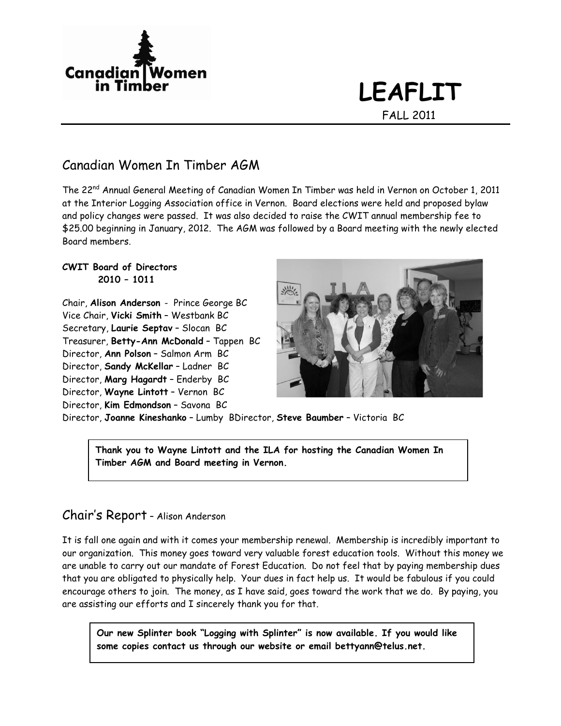

# **LEAFLIT** FALL 2011

### Canadian Women In Timber AGM

The 22nd Annual General Meeting of Canadian Women In Timber was held in Vernon on October 1, 2011 at the Interior Logging Association office in Vernon. Board elections were held and proposed bylaw and policy changes were passed. It was also decided to raise the CWIT annual membership fee to \$25.00 beginning in January, 2012. The AGM was followed by a Board meeting with the newly elected Board members.

#### **CWIT Board of Directors 2010 – 1011**

Chair, **Alison Anderson** - Prince George BC Vice Chair, **Vicki Smith** – Westbank BC Secretary, **Laurie Septav** – Slocan BC Treasurer, **Betty-Ann McDonald** – Tappen BC Director, **Ann Polson** – Salmon Arm BC Director, **Sandy McKellar** – Ladner BC Director, **Marg Hagardt** – Enderby BC Director, **Wayne Lintott** – Vernon BC Director, **Kim Edmondson** – Savona BC



Director, **Joanne Kineshanko** – Lumby BDirector, **Steve Baumber** – Victoria BC

**Thank you to Wayne Lintott and the ILA for hosting the Canadian Women In Timber AGM and Board meeting in Vernon.**

#### Chair's Report – Alison Anderson

It is fall one again and with it comes your membership renewal. Membership is incredibly important to our organization. This money goes toward very valuable forest education tools. Without this money we are unable to carry out our mandate of Forest Education. Do not feel that by paying membership dues that you are obligated to physically help. Your dues in fact help us. It would be fabulous if you could encourage others to join. The money, as I have said, goes toward the work that we do. By paying, you are assisting our efforts and I sincerely thank you for that.

**Our new Splinter book "Logging with Splinter" is now available. If you would like some copies contact us through our website or email bettyann@telus.net.**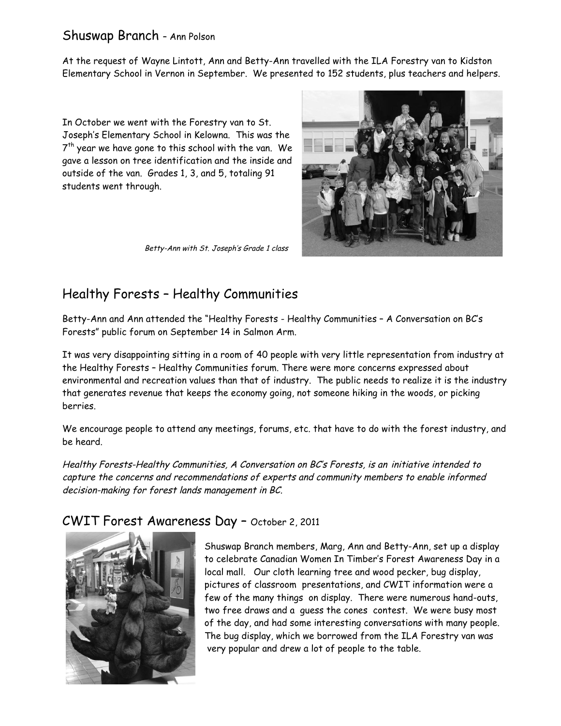#### Shuswap Branch – Ann Polson

At the request of Wayne Lintott, Ann and Betty-Ann travelled with the ILA Forestry van to Kidston Elementary School in Vernon in September. We presented to 152 students, plus teachers and helpers.

In October we went with the Forestry van to St. Joseph's Elementary School in Kelowna. This was the  $7<sup>th</sup>$  year we have gone to this school with the van. We gave a lesson on tree identification and the inside and outside of the van. Grades 1, 3, and 5, totaling 91 students went through.



Betty-Ann with St. Joseph's Grade 1 class

## Healthy Forests – Healthy Communities

Betty-Ann and Ann attended the "Healthy Forests - Healthy Communities – A Conversation on BC's Forests" public forum on September 14 in Salmon Arm.

It was very disappointing sitting in a room of 40 people with very little representation from industry at the Healthy Forests – Healthy Communities forum. There were more concerns expressed about environmental and recreation values than that of industry. The public needs to realize it is the industry that generates revenue that keeps the economy going, not someone hiking in the woods, or picking berries.

We encourage people to attend any meetings, forums, etc. that have to do with the forest industry, and be heard.

Healthy Forests-Healthy Communities, A Conversation on BC's Forests, is an initiative intended to capture the concerns and recommendations of experts and community members to enable informed decision-making for forest lands management in BC.

#### CWIT Forest Awareness Day – October 2, 2011



Shuswap Branch members, Marg, Ann and Betty-Ann, set up a display to celebrate Canadian Women In Timber's Forest Awareness Day in a local mall. Our cloth learning tree and wood pecker, bug display, pictures of classroom presentations, and CWIT information were a few of the many things on display. There were numerous hand-outs, two free draws and a guess the cones contest. We were busy most of the day, and had some interesting conversations with many people. The bug display, which we borrowed from the ILA Forestry van was very popular and drew a lot of people to the table.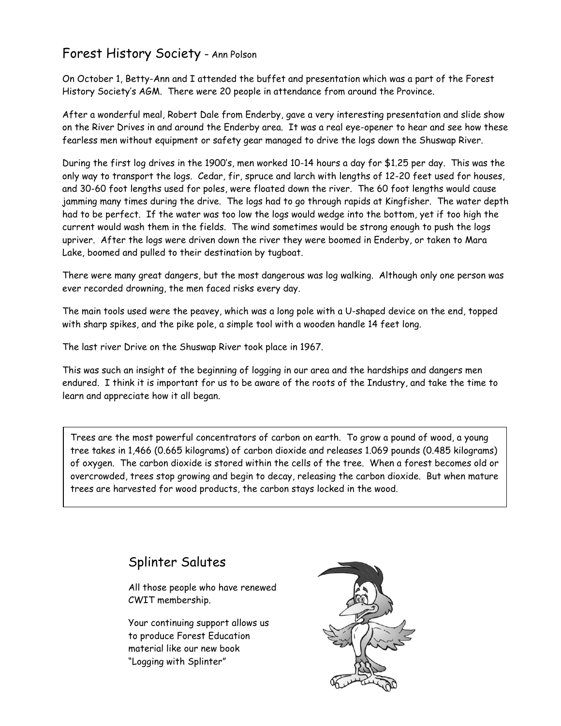#### Forest History Society – Ann Polson

On October 1, Betty-Ann and I attended the buffet and presentation which was a part of the Forest History Society's AGM. There were 20 people in attendance from around the Province.

After a wonderful meal, Robert Dale from Enderby, gave a very interesting presentation and slide show on the River Drives in and around the Enderby area. It was a real eye-opener to hear and see how these fearless men without equipment or safety gear managed to drive the logs down the Shuswap River.

During the first log drives in the 1900's, men worked 10-14 hours a day for \$1.25 per day. This was the only way to transport the logs. Cedar, fir, spruce and larch with lengths of 12-20 feet used for houses, and 30-60 foot lengths used for poles, were floated down the river. The 60 foot lengths would cause jamming many times during the drive. The logs had to go through rapids at Kingfisher. The water depth had to be perfect. If the water was too low the logs would wedge into the bottom, yet if too high the current would wash them in the fields. The wind sometimes would be strong enough to push the logs upriver. After the logs were driven down the river they were boomed in Enderby, or taken to Mara Lake, boomed and pulled to their destination by tugboat.

There were many great dangers, but the most dangerous was log walking. Although only one person was ever recorded drowning, the men faced risks every day.

The main tools used were the peavey, which was a long pole with a U-shaped device on the end, topped with sharp spikes, and the pike pole, a simple tool with a wooden handle 14 feet long.

The last river Drive on the Shuswap River took place in 1967.

This was such an insight of the beginning of logging in our area and the hardships and dangers men endured. I think it is important for us to be aware of the roots of the Industry, and take the time to learn and appreciate how it all began.

Trees are the most powerful concentrators of carbon on earth. To grow a pound of wood, a young tree takes in 1,466 (0.665 kilograms) of carbon dioxide and releases 1.069 pounds (0.485 kilograms) of oxygen. The carbon dioxide is stored within the cells of the tree. When a forest becomes old or overcrowded, trees stop growing and begin to decay, releasing the carbon dioxide. But when mature trees are harvested for wood products, the carbon stays locked in the wood.

## Splinter Salutes

All those people who have renewed CWIT membership.

Your continuing support allows us to produce Forest Education material like our new book "Logging with Splinter"